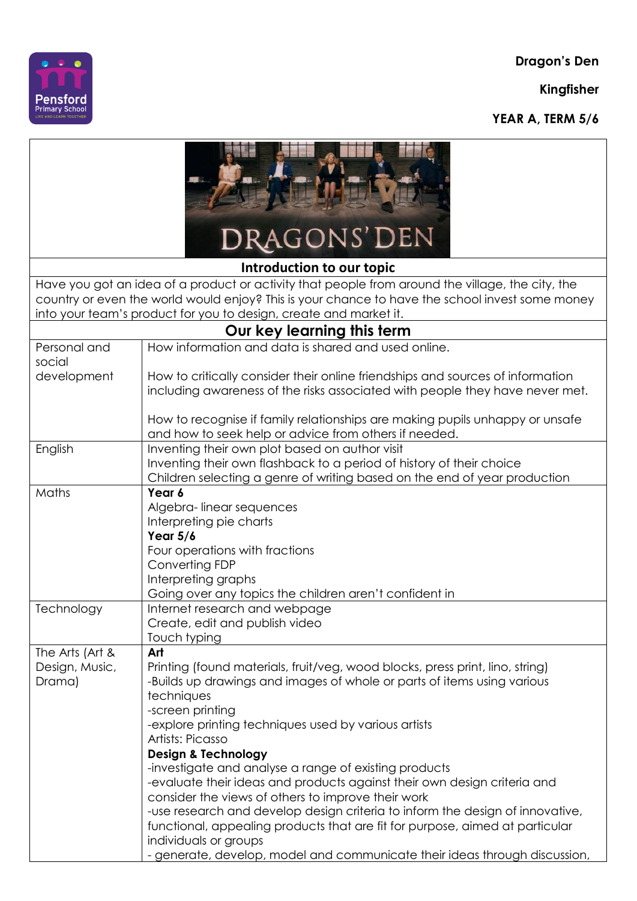**Dragon's Den**

**Kingfisher**





| DRAGONS' DEN                                                                                                                                                                                                                                                             |                                                                                                                                                                                                                                                                                                                                                                                                                                                      |  |
|--------------------------------------------------------------------------------------------------------------------------------------------------------------------------------------------------------------------------------------------------------------------------|------------------------------------------------------------------------------------------------------------------------------------------------------------------------------------------------------------------------------------------------------------------------------------------------------------------------------------------------------------------------------------------------------------------------------------------------------|--|
| Introduction to our topic                                                                                                                                                                                                                                                |                                                                                                                                                                                                                                                                                                                                                                                                                                                      |  |
| Have you got an idea of a product or activity that people from around the village, the city, the<br>country or even the world would enjoy? This is your chance to have the school invest some money<br>into your team's product for you to design, create and market it. |                                                                                                                                                                                                                                                                                                                                                                                                                                                      |  |
| Our key learning this term                                                                                                                                                                                                                                               |                                                                                                                                                                                                                                                                                                                                                                                                                                                      |  |
| Personal and<br>social                                                                                                                                                                                                                                                   | How information and data is shared and used online.                                                                                                                                                                                                                                                                                                                                                                                                  |  |
| development                                                                                                                                                                                                                                                              | How to critically consider their online friendships and sources of information<br>including awareness of the risks associated with people they have never met.                                                                                                                                                                                                                                                                                       |  |
|                                                                                                                                                                                                                                                                          | How to recognise if family relationships are making pupils unhappy or unsafe<br>and how to seek help or advice from others if needed.                                                                                                                                                                                                                                                                                                                |  |
| English                                                                                                                                                                                                                                                                  | Inventing their own plot based on author visit<br>Inventing their own flashback to a period of history of their choice<br>Children selecting a genre of writing based on the end of year production                                                                                                                                                                                                                                                  |  |
| Maths                                                                                                                                                                                                                                                                    | Year 6<br>Algebra-linear sequences<br>Interpreting pie charts<br>Year $5/6$<br>Four operations with fractions<br>Converting FDP<br>Interpreting graphs<br>Going over any topics the children aren't confident in                                                                                                                                                                                                                                     |  |
| Technology                                                                                                                                                                                                                                                               | Internet research and webpage<br>Create, edit and publish video<br>Touch typing                                                                                                                                                                                                                                                                                                                                                                      |  |
| The Arts (Art &<br>Design, Music,<br>Drama)                                                                                                                                                                                                                              | Art<br>Printing (found materials, fruit/veg, wood blocks, press print, lino, string)<br>-Builds up drawings and images of whole or parts of items using various<br>techniques<br>-screen printing<br>-explore printing techniques used by various artists<br>Artists: Picasso<br><b>Design &amp; Technology</b><br>-investigate and analyse a range of existing products<br>-evaluate their ideas and products against their own design criteria and |  |
|                                                                                                                                                                                                                                                                          | consider the views of others to improve their work<br>-use research and develop design criteria to inform the design of innovative,<br>functional, appealing products that are fit for purpose, aimed at particular<br>individuals or groups<br>- generate, develop, model and communicate their ideas through discussion,                                                                                                                           |  |